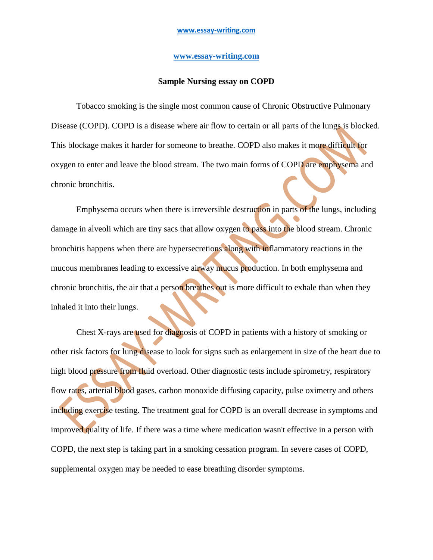## **[www.essay-writing.com](http://www.essay-writing.com/)**

## **Sample Nursing essay on COPD**

Tobacco smoking is the single most common cause of Chronic Obstructive Pulmonary Disease (COPD). COPD is a disease where air flow to certain or all parts of the lungs is blocked. This blockage makes it harder for someone to breathe. COPD also makes it more difficult for oxygen to enter and leave the blood stream. The two main forms of COPD are emphysema and chronic bronchitis.

Emphysema occurs when there is irreversible destruction in parts of the lungs, including damage in alveoli which are tiny sacs that allow oxygen to pass into the blood stream. Chronic bronchitis happens when there are hypersecretions along with inflammatory reactions in the mucous membranes leading to excessive airway mucus production. In both emphysema and chronic bronchitis, the air that a person breathes out is more difficult to exhale than when they inhaled it into their lungs.

Chest X-rays are used for diagnosis of COPD in patients with a history of smoking or other risk factors for lung disease to look for signs such as enlargement in size of the heart due to high blood pressure from fluid overload. Other diagnostic tests include spirometry, respiratory flow rates, arterial blood gases, carbon monoxide diffusing capacity, pulse oximetry and others including exercise testing. The treatment goal for COPD is an overall decrease in symptoms and improved quality of life. If there was a time where medication wasn't effective in a person with COPD, the next step is taking part in a smoking cessation program. In severe cases of COPD, supplemental oxygen may be needed to ease breathing disorder symptoms.